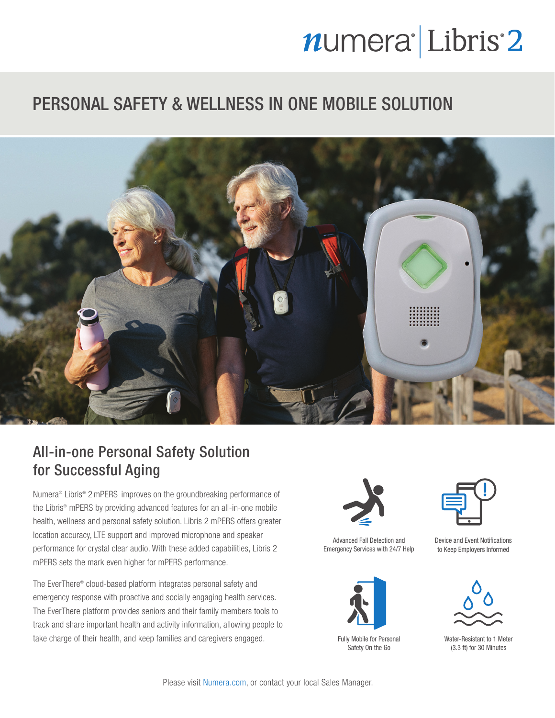# numera<sup>l</sup>Libris<sup>2</sup>

## PERSONAL SAFETY & WELLNESS IN ONE MOBILE SOLUTION



### All-in-one Personal Safety Solution for Successful Aging

Numera® Libris® 2mPERS improves on the groundbreaking performance of the Libris® mPERS by providing advanced features for an all-in-one mobile health, wellness and personal safety solution. Libris 2 mPERS offers greater location accuracy, LTE support and improved microphone and speaker performance for crystal clear audio. With these added capabilities, Libris 2 mPERS sets the mark even higher for mPERS performance.

The EverThere® cloud-based platform integrates personal safety and emergency response with proactive and socially engaging health services. The EverThere platform provides seniors and their family members tools to track and share important health and activity information, allowing people to take charge of their health, and keep families and caregivers engaged.



Advanced Fall Detection and Emergency Services with 24/7 Help



Fully Mobile for Personal Safety On the Go



Device and Event Notifications to Keep Employers Informed



Water-Resistant to 1 Meter (3.3 ft) for 30 Minutes